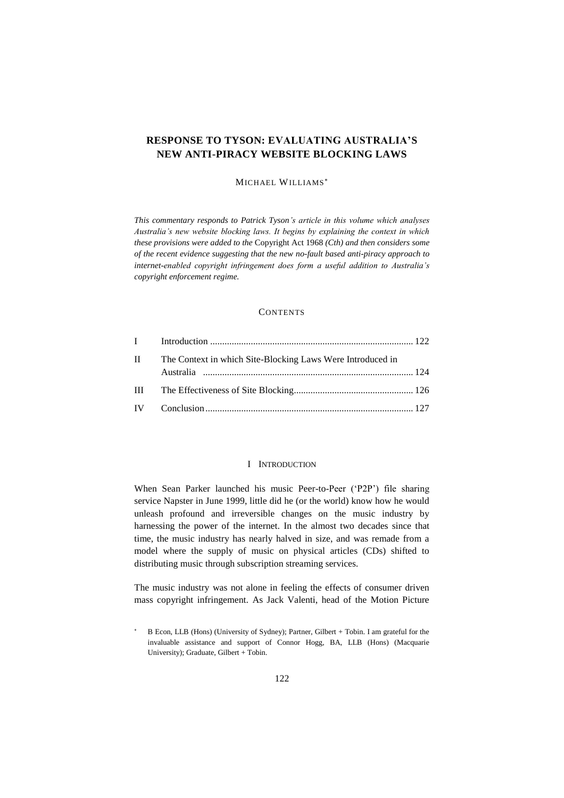# **RESPONSE TO TYSON: EVALUATING AUSTRALIA'S NEW ANTI-PIRACY WEBSITE BLOCKING LAWS**

# MICHAEL WILLIAMS

*This commentary responds to Patrick Tyson's article in this volume which analyses Australia's new website blocking laws. It begins by explaining the context in which these provisions were added to the* Copyright Act 1968 *(Cth) and then considers some of the recent evidence suggesting that the new no-fault based anti-piracy approach to internet-enabled copyright infringement does form a useful addition to Australia's copyright enforcement regime.*

## **CONTENTS**

| $\mathbf{H}$ | The Context in which Site-Blocking Laws Were Introduced in |  |
|--------------|------------------------------------------------------------|--|
|              |                                                            |  |
|              |                                                            |  |
|              |                                                            |  |

## I INTRODUCTION

<span id="page-0-0"></span>When Sean Parker launched his music Peer-to-Peer ('P2P') file sharing service Napster in June 1999, little did he (or the world) know how he would unleash profound and irreversible changes on the music industry by harnessing the power of the internet. In the almost two decades since that time, the music industry has nearly halved in size, and was remade from a model where the supply of music on physical articles (CDs) shifted to distributing music through subscription streaming services.

The music industry was not alone in feeling the effects of consumer driven mass copyright infringement. As Jack Valenti, head of the Motion Picture

B Econ, LLB (Hons) (University of Sydney); Partner, Gilbert + Tobin. I am grateful for the invaluable assistance and support of Connor Hogg, BA, LLB (Hons) (Macquarie University); Graduate, Gilbert + Tobin.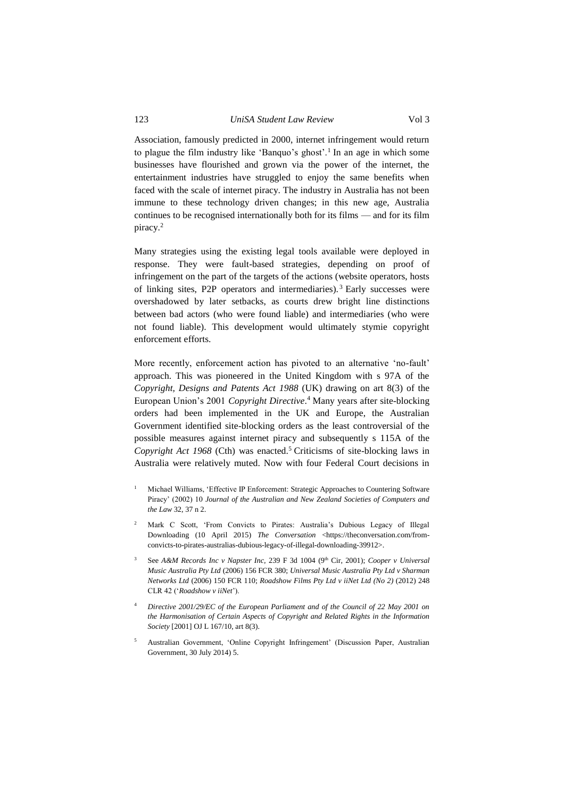Association, famously predicted in 2000, internet infringement would return to plague the film industry like 'Banquo's ghost'.<sup>1</sup> In an age in which some businesses have flourished and grown via the power of the internet, the entertainment industries have struggled to enjoy the same benefits when faced with the scale of internet piracy. The industry in Australia has not been immune to these technology driven changes; in this new age, Australia continues to be recognised internationally both for its films — and for its film piracy.<sup>2</sup>

Many strategies using the existing legal tools available were deployed in response. They were fault-based strategies, depending on proof of infringement on the part of the targets of the actions (website operators, hosts of linking sites, P2P operators and intermediaries). <sup>3</sup> Early successes were overshadowed by later setbacks, as courts drew bright line distinctions between bad actors (who were found liable) and intermediaries (who were not found liable). This development would ultimately stymie copyright enforcement efforts.

More recently, enforcement action has pivoted to an alternative 'no-fault' approach. This was pioneered in the United Kingdom with s 97A of the *Copyright, Designs and Patents Act 1988* (UK) drawing on art 8(3) of the European Union's 2001 *Copyright Directive*. <sup>4</sup> Many years after site-blocking orders had been implemented in the UK and Europe, the Australian Government identified site-blocking orders as the least controversial of the possible measures against internet piracy and subsequently s 115A of the *Copyright Act 1968* (Cth) was enacted.<sup>5</sup> Criticisms of site-blocking laws in Australia were relatively muted. Now with four Federal Court decisions in

- <sup>1</sup> Michael Williams, 'Effective IP Enforcement: Strategic Approaches to Countering Software Piracy' (2002) 10 *Journal of the Australian and New Zealand Societies of Computers and the Law* 32, 37 n 2.
- <sup>2</sup> Mark C Scott, 'From Convicts to Pirates: Australia's Dubious Legacy of Illegal Downloading (10 April 2015) *The Conversation* <https://theconversation.com/fromconvicts-to-pirates-australias-dubious-legacy-of-illegal-downloading-39912>.
- See A&M Records Inc v Napster Inc, 239 F 3d 1004 (9<sup>th</sup> Cir, 2001); *Cooper v Universal Music Australia Pty Ltd* (2006) 156 FCR 380; *Universal Music Australia Pty Ltd v Sharman Networks Ltd* (2006) 150 FCR 110; *Roadshow Films Pty Ltd v iiNet Ltd (No 2)* (2012) 248 CLR 42 ('*Roadshow v iiNet*').
- <sup>4</sup> *Directive 2001/29/EC of the European Parliament and of the Council of 22 May 2001 on the Harmonisation of Certain Aspects of Copyright and Related Rights in the Information Society* [2001] OJ L 167/10, art 8(3).
- <sup>5</sup> Australian Government, 'Online Copyright Infringement' (Discussion Paper, Australian Government, 30 July 2014) 5.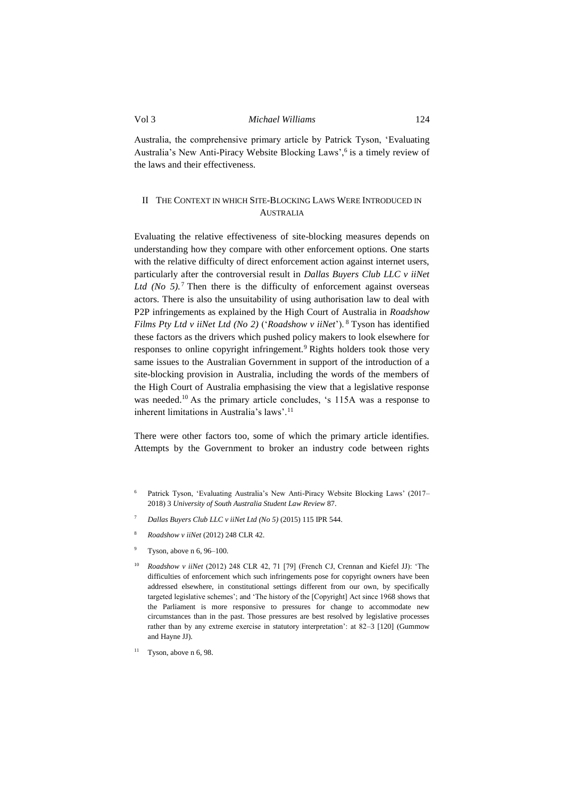Australia, the comprehensive primary article by Patrick Tyson, 'Evaluating Australia's New Anti-Piracy Website Blocking Laws',<sup>6</sup> is a timely review of the laws and their effectiveness.

# <span id="page-2-0"></span>II THE CONTEXT IN WHICH SITE-BLOCKING LAWS WERE INTRODUCED IN AUSTRALIA

Evaluating the relative effectiveness of site-blocking measures depends on understanding how they compare with other enforcement options. One starts with the relative difficulty of direct enforcement action against internet users, particularly after the controversial result in *Dallas Buyers Club LLC v iiNet Ltd (No 5).* <sup>7</sup> Then there is the difficulty of enforcement against overseas actors. There is also the unsuitability of using authorisation law to deal with P2P infringements as explained by the High Court of Australia in *Roadshow Films Pty Ltd v iiNet Ltd (No 2)* ('*Roadshow v iiNet*'). <sup>8</sup> Tyson has identified these factors as the drivers which pushed policy makers to look elsewhere for responses to online copyright infringement.<sup>9</sup> Rights holders took those very same issues to the Australian Government in support of the introduction of a site-blocking provision in Australia, including the words of the members of the High Court of Australia emphasising the view that a legislative response was needed.<sup>10</sup> As the primary article concludes, 's 115A was a response to inherent limitations in Australia's laws'.<sup>11</sup>

There were other factors too, some of which the primary article identifies. Attempts by the Government to broker an industry code between rights

- Patrick Tyson, 'Evaluating Australia's New Anti-Piracy Website Blocking Laws' (2017– 2018) 3 *University of South Australia Student Law Review* 87.
- <sup>7</sup> *Dallas Buyers Club LLC v iiNet Ltd (No 5)* (2015) 115 IPR 544.
- <sup>8</sup> *Roadshow v iiNet* (2012) 248 CLR 42.
- Tyson, above n 6, 96-100.
- <sup>10</sup> *Roadshow v iiNet* (2012) 248 CLR 42, 71 [79] (French CJ, Crennan and Kiefel JJ): 'The difficulties of enforcement which such infringements pose for copyright owners have been addressed elsewhere, in constitutional settings different from our own, by specifically targeted legislative schemes'; and 'The history of the [Copyright] Act since 1968 shows that the Parliament is more responsive to pressures for change to accommodate new circumstances than in the past. Those pressures are best resolved by legislative processes rather than by any extreme exercise in statutory interpretation': at 82–3 [120] (Gummow and Hayne JJ).
- $11$  Tyson, above n 6, 98.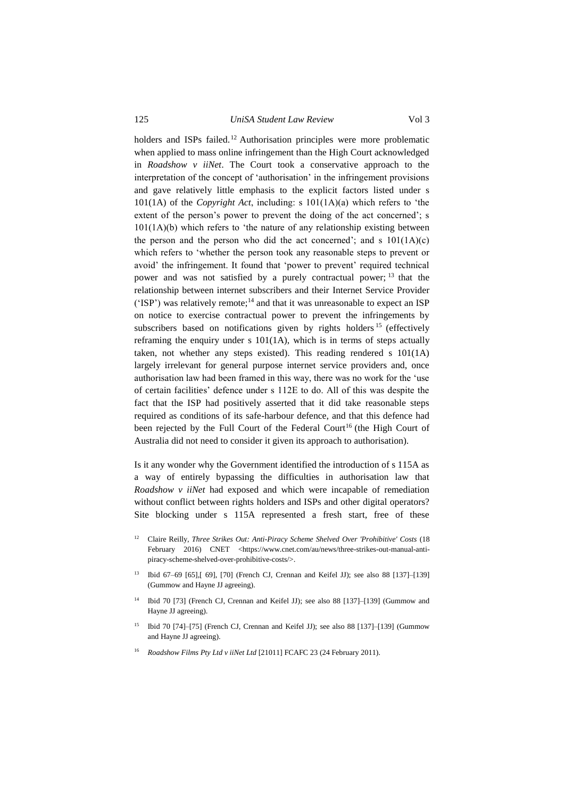125 *UniSA Student Law Review* Vol 3

holders and ISPs failed.<sup>12</sup> Authorisation principles were more problematic when applied to mass online infringement than the High Court acknowledged in *Roadshow v iiNet*. The Court took a conservative approach to the interpretation of the concept of 'authorisation' in the infringement provisions and gave relatively little emphasis to the explicit factors listed under s 101(1A) of the *Copyright Act*, including: s 101(1A)(a) which refers to 'the extent of the person's power to prevent the doing of the act concerned'; s  $101(1A)(b)$  which refers to 'the nature of any relationship existing between the person and the person who did the act concerned'; and s  $101(1A)(c)$ which refers to 'whether the person took any reasonable steps to prevent or avoid' the infringement. It found that 'power to prevent' required technical power and was not satisfied by a purely contractual power; <sup>13</sup> that the relationship between internet subscribers and their Internet Service Provider ('ISP') was relatively remote;<sup>14</sup> and that it was unreasonable to expect an ISP on notice to exercise contractual power to prevent the infringements by subscribers based on notifications given by rights holders <sup>15</sup> (effectively reframing the enquiry under s 101(1A), which is in terms of steps actually taken, not whether any steps existed). This reading rendered s 101(1A) largely irrelevant for general purpose internet service providers and, once authorisation law had been framed in this way, there was no work for the 'use of certain facilities' defence under s 112E to do. All of this was despite the fact that the ISP had positively asserted that it did take reasonable steps required as conditions of its safe-harbour defence, and that this defence had been rejected by the Full Court of the Federal Court<sup>16</sup> (the High Court of Australia did not need to consider it given its approach to authorisation).

Is it any wonder why the Government identified the introduction of s 115A as a way of entirely bypassing the difficulties in authorisation law that *Roadshow v iiNet* had exposed and which were incapable of remediation without conflict between rights holders and ISPs and other digital operators? Site blocking under s 115A represented a fresh start, free of these

- <sup>12</sup> Claire Reilly, *Three Strikes Out: Anti-Piracy Scheme Shelved Over 'Prohibitive' Costs* (18 February 2016) CNET <https://www.cnet.com/au/news/three-strikes-out-manual-antipiracy-scheme-shelved-over-prohibitive-costs/>.
- <sup>13</sup> Ibid 67–69 [65],[ 69], [70] (French CJ, Crennan and Keifel JJ); see also 88 [137]–[139] (Gummow and Hayne JJ agreeing).
- <sup>14</sup> Ibid 70 [73] (French CJ, Crennan and Keifel JJ); see also 88 [137]–[139] (Gummow and Hayne JJ agreeing).
- <sup>15</sup> Ibid 70 [74]–[75] (French CJ, Crennan and Keifel JJ); see also 88 [137]–[139] (Gummow and Hayne JJ agreeing).
- <sup>16</sup> *Roadshow Films Pty Ltd v iiNet Ltd* [21011] FCAFC 23 (24 February 2011).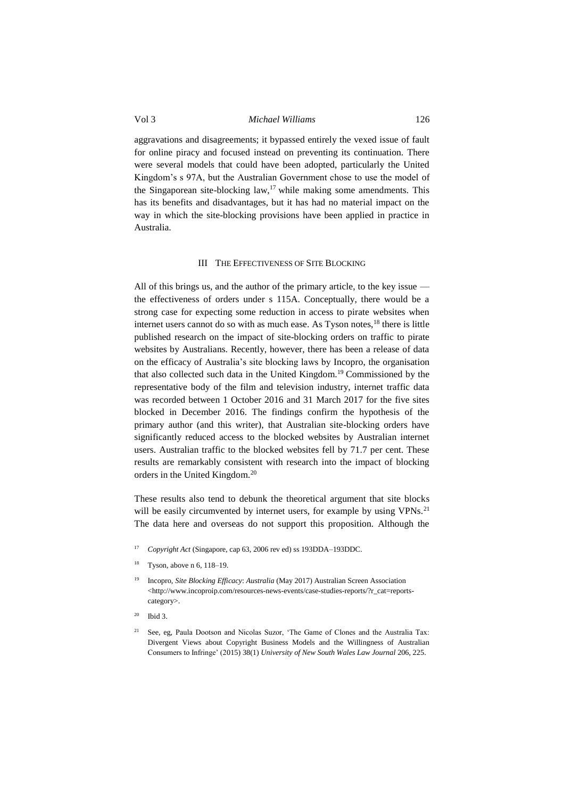## Vol 3 *Michael Williams* 126

aggravations and disagreements; it bypassed entirely the vexed issue of fault for online piracy and focused instead on preventing its continuation. There were several models that could have been adopted, particularly the United Kingdom's s 97A, but the Australian Government chose to use the model of the Singaporean site-blocking law, $17$  while making some amendments. This has its benefits and disadvantages, but it has had no material impact on the way in which the site-blocking provisions have been applied in practice in Australia.

### III THE EFFECTIVENESS OF SITE BLOCKING

<span id="page-4-0"></span>All of this brings us, and the author of the primary article, to the key issue the effectiveness of orders under s 115A. Conceptually, there would be a strong case for expecting some reduction in access to pirate websites when internet users cannot do so with as much ease. As Tyson notes, $^{18}$  there is little published research on the impact of site-blocking orders on traffic to pirate websites by Australians. Recently, however, there has been a release of data on the efficacy of Australia's site blocking laws by Incopro, the organisation that also collected such data in the United Kingdom. <sup>19</sup> Commissioned by the representative body of the film and television industry, internet traffic data was recorded between 1 October 2016 and 31 March 2017 for the five sites blocked in December 2016. The findings confirm the hypothesis of the primary author (and this writer), that Australian site-blocking orders have significantly reduced access to the blocked websites by Australian internet users. Australian traffic to the blocked websites fell by 71.7 per cent. These results are remarkably consistent with research into the impact of blocking orders in the United Kingdom.<sup>20</sup>

These results also tend to debunk the theoretical argument that site blocks will be easily circumvented by internet users, for example by using VPNs.<sup>21</sup> The data here and overseas do not support this proposition. Although the

- <sup>17</sup> *Copyright Act* (Singapore, cap 63, 2006 rev ed) ss 193DDA–193DDC.
- <sup>18</sup> Tyson, above n 6, 118–19.
- <sup>19</sup> Incopro, *Site Blocking Efficacy*: *Australia* (May 2017) Australian Screen Association <http://www.incoproip.com/resources-news-events/case-studies-reports/?r\_cat=reportscategory>.
- Ibid 3.
- <sup>21</sup> See, eg, Paula Dootson and Nicolas Suzor, 'The Game of Clones and the Australia Tax: Divergent Views about Copyright Business Models and the Willingness of Australian Consumers to Infringe' (2015) 38(1) *University of New South Wales Law Journal* 206, 225.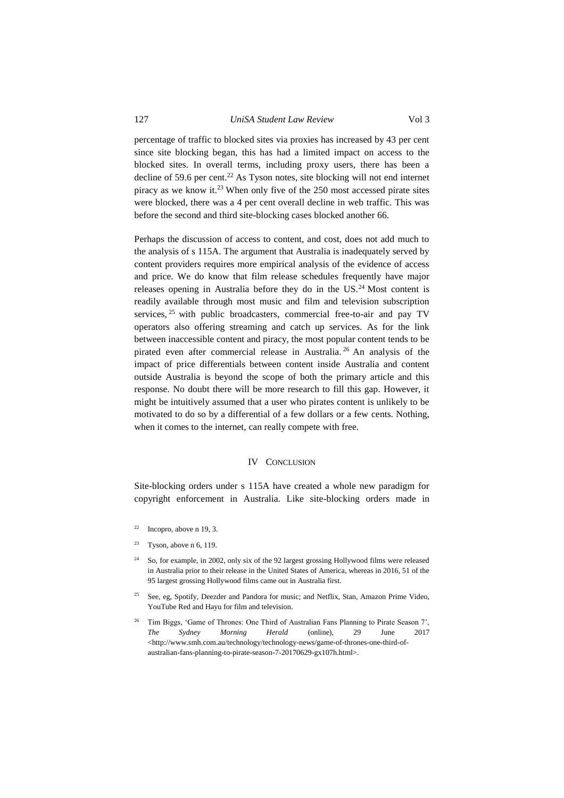## 127 *UniSA Student Law Review* Vol 3

percentage of traffic to blocked sites via proxies has increased by 43 per cent since site blocking began, this has had a limited impact on access to the blocked sites. In overall terms, including proxy users, there has been a decline of 59.6 per cent.<sup>22</sup> As Tyson notes, site blocking will not end internet piracy as we know it.<sup>23</sup> When only five of the 250 most accessed pirate sites were blocked, there was a 4 per cent overall decline in web traffic. This was before the second and third site-blocking cases blocked another 66.

Perhaps the discussion of access to content, and cost, does not add much to the analysis of s 115A. The argument that Australia is inadequately served by content providers requires more empirical analysis of the evidence of access and price. We do know that film release schedules frequently have major releases opening in Australia before they do in the US.<sup>24</sup> Most content is readily available through most music and film and television subscription services, <sup>25</sup> with public broadcasters, commercial free-to-air and pay TV operators also offering streaming and catch up services. As for the link between inaccessible content and piracy, the most popular content tends to be pirated even after commercial release in Australia. <sup>26</sup> An analysis of the impact of price differentials between content inside Australia and content outside Australia is beyond the scope of both the primary article and this response. No doubt there will be more research to fill this gap. However, it might be intuitively assumed that a user who pirates content is unlikely to be motivated to do so by a differential of a few dollars or a few cents. Nothing, when it comes to the internet, can really compete with free.

#### IV CONCLUSION

<span id="page-5-0"></span>Site-blocking orders under s 115A have created a whole new paradigm for copyright enforcement in Australia. Like site-blocking orders made in

- <sup>24</sup> So, for example, in 2002, only six of the 92 largest grossing Hollywood films were released in Australia prior to their release in the United States of America, whereas in 2016, 51 of the 95 largest grossing Hollywood films came out in Australia first.
- <sup>25</sup> See, eg, Spotify, Deezder and Pandora for music; and Netflix, Stan, Amazon Prime Video, YouTube Red and Hayu for film and television.
- <sup>26</sup> Tim Biggs, 'Game of Thrones: One Third of Australian Fans Planning to Pirate Season 7', *The Sydney Morning Herald* (online), 29 June 2017 <http://www.smh.com.au/technology/technology-news/game-of-thrones-one-third-ofaustralian-fans-planning-to-pirate-season-7-20170629-gx107h.html>.

 $22$  Incopro, above n 19, 3.

<sup>&</sup>lt;sup>23</sup> Tyson, above n 6, 119.